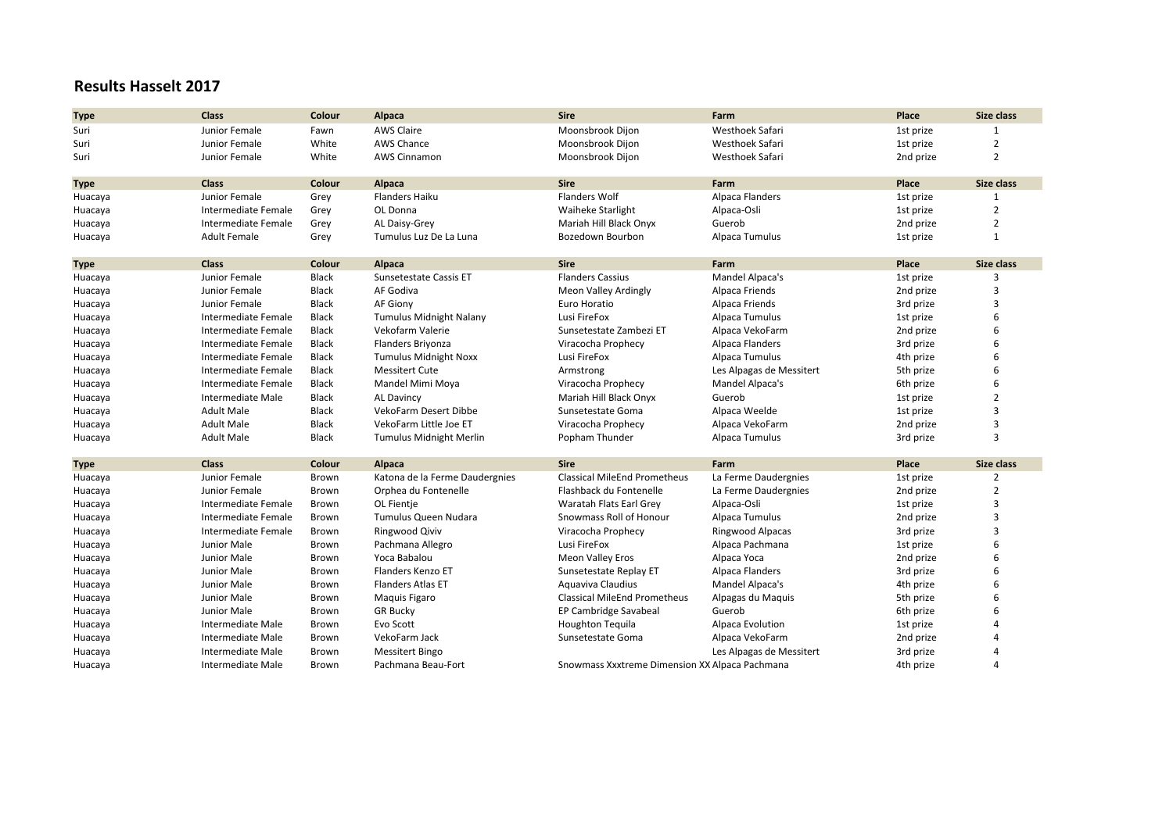## **Results Hasselt 2017**

| <b>Type</b> | <b>Class</b>             | Colour       | Alpaca                         | <b>Sire</b>                                    | Farm                     | Place     | Size class              |
|-------------|--------------------------|--------------|--------------------------------|------------------------------------------------|--------------------------|-----------|-------------------------|
| Suri        | Junior Female            | Fawn         | <b>AWS Claire</b>              | Moonsbrook Dijon                               | Westhoek Safari          | 1st prize |                         |
| Suri        | Junior Female            | White        | <b>AWS Chance</b>              | Moonsbrook Dijon                               | Westhoek Safari          | 1st prize | $\overline{2}$          |
| Suri        | Junior Female            | White        | AWS Cinnamon                   | Moonsbrook Dijon                               | Westhoek Safari          | 2nd prize | $\overline{2}$          |
|             |                          |              |                                |                                                |                          |           |                         |
| <b>Type</b> | <b>Class</b>             | Colour       | Alpaca                         | <b>Sire</b>                                    | Farm                     | Place     | Size class              |
| Huacaya     | Junior Female            | Grey         | Flanders Haiku                 | <b>Flanders Wolf</b>                           | Alpaca Flanders          | 1st prize | $\mathbf{1}$            |
| Huacaya     | Intermediate Female      | Grey         | OL Donna                       | <b>Waiheke Starlight</b>                       | Alpaca-Osli              | 1st prize | $\overline{2}$          |
| Huacaya     | Intermediate Female      | Grey         | AL Daisy-Grey                  | Mariah Hill Black Onyx                         | Guerob                   | 2nd prize | $\overline{2}$          |
| Huacaya     | <b>Adult Female</b>      | Grey         | Tumulus Luz De La Luna         | Bozedown Bourbon                               | Alpaca Tumulus           | 1st prize | $\mathbf{1}$            |
| <b>Type</b> | Class                    | Colour       | Alpaca                         | <b>Sire</b>                                    | Farm                     | Place     | Size class              |
| Huacaya     | Junior Female            | Black        | Sunsetestate Cassis ET         | <b>Flanders Cassius</b>                        | Mandel Alpaca's          | 1st prize |                         |
| Huacaya     | Junior Female            | Black        | AF Godiva                      | <b>Meon Valley Ardingly</b>                    | Alpaca Friends           | 2nd prize | 3                       |
| Huacaya     | Junior Female            | Black        | AF Giony                       | Euro Horatio                                   | Alpaca Friends           | 3rd prize | 3                       |
| Huacaya     | Intermediate Female      | Black        | <b>Tumulus Midnight Nalany</b> | Lusi FireFox                                   | Alpaca Tumulus           | 1st prize | 6                       |
| Huacaya     | Intermediate Female      | Black        | Vekofarm Valerie               | Sunsetestate Zambezi ET                        | Alpaca VekoFarm          | 2nd prize | 6                       |
| Huacaya     | Intermediate Female      | Black        | Flanders Briyonza              | Viracocha Prophecy                             | Alpaca Flanders          | 3rd prize | 6                       |
| Huacaya     | Intermediate Female      | Black        | <b>Tumulus Midnight Noxx</b>   | Lusi FireFox                                   | Alpaca Tumulus           | 4th prize | 6                       |
| Huacaya     | Intermediate Female      | Black        | <b>Messitert Cute</b>          | Armstrong                                      | Les Alpagas de Messitert | 5th prize | 6                       |
| Huacaya     | Intermediate Female      | Black        | Mandel Mimi Moya               | Viracocha Prophecy                             | Mandel Alpaca's          | 6th prize | 6                       |
| Huacaya     | Intermediate Male        | <b>Black</b> | <b>AL Davincy</b>              | Mariah Hill Black Onyx                         | Guerob                   | 1st prize | $\overline{2}$          |
| Huacaya     | <b>Adult Male</b>        | Black        | VekoFarm Desert Dibbe          | Sunsetestate Goma                              | Alpaca Weelde            | 1st prize | $\overline{\mathbf{a}}$ |
| Huacaya     | <b>Adult Male</b>        | Black        | VekoFarm Little Joe ET         | Viracocha Prophecy                             | Alpaca VekoFarm          | 2nd prize | 3                       |
| Huacaya     | <b>Adult Male</b>        | Black        | Tumulus Midnight Merlin        | Popham Thunder                                 | Alpaca Tumulus           | 3rd prize | 3                       |
| <b>Type</b> | <b>Class</b>             | Colour       | Alpaca                         | <b>Sire</b>                                    | Farm                     | Place     | Size class              |
| Huacaya     | Junior Female            | Brown        | Katona de la Ferme Daudergnies | <b>Classical MileEnd Prometheus</b>            | La Ferme Daudergnies     | 1st prize | 2                       |
| Huacaya     | Junior Female            | Brown        | Orphea du Fontenelle           | Flashback du Fontenelle                        | La Ferme Daudergnies     | 2nd prize | $\overline{2}$          |
| Huacaya     | Intermediate Female      | Brown        | OL Fientje                     | Waratah Flats Earl Grey                        | Alpaca-Osli              | 1st prize | 3                       |
| Huacaya     | Intermediate Female      | Brown        | Tumulus Queen Nudara           | Snowmass Roll of Honour                        | Alpaca Tumulus           | 2nd prize | 3                       |
| Huacaya     | Intermediate Female      | Brown        | Ringwood Qiviv                 | Viracocha Prophecy                             | Ringwood Alpacas         | 3rd prize | 3                       |
| Huacaya     | Junior Male              | Brown        | Pachmana Allegro               | Lusi FireFox                                   | Alpaca Pachmana          | 1st prize | 6                       |
| Huacaya     | Junior Male              | Brown        | Yoca Babalou                   | Meon Valley Eros                               | Alpaca Yoca              | 2nd prize | 6                       |
| Huacaya     | Junior Male              | Brown        | Flanders Kenzo ET              | Sunsetestate Replay ET                         | Alpaca Flanders          | 3rd prize | 6                       |
| Huacaya     | Junior Male              | Brown        | <b>Flanders Atlas ET</b>       | Aquaviva Claudius                              | Mandel Alpaca's          | 4th prize | 6                       |
| Huacaya     | Junior Male              | Brown        | Maquis Figaro                  | <b>Classical MileEnd Prometheus</b>            | Alpagas du Maquis        | 5th prize | 6                       |
| Huacaya     | Junior Male              | Brown        | <b>GR Bucky</b>                | EP Cambridge Savabeal                          | Guerob                   | 6th prize | 6                       |
| Huacaya     | Intermediate Male        | Brown        | Evo Scott                      | <b>Houghton Tequila</b>                        | Alpaca Evolution         | 1st prize |                         |
| Huacaya     | Intermediate Male        | Brown        | VekoFarm Jack                  | Sunsetestate Goma                              | Alpaca VekoFarm          | 2nd prize |                         |
| Huacaya     | <b>Intermediate Male</b> | Brown        | <b>Messitert Bingo</b>         |                                                | Les Alpagas de Messitert | 3rd prize |                         |
| Huacaya     | Intermediate Male        | Brown        | Pachmana Beau-Fort             | Snowmass Xxxtreme Dimension XX Alpaca Pachmana |                          | 4th prize | Δ                       |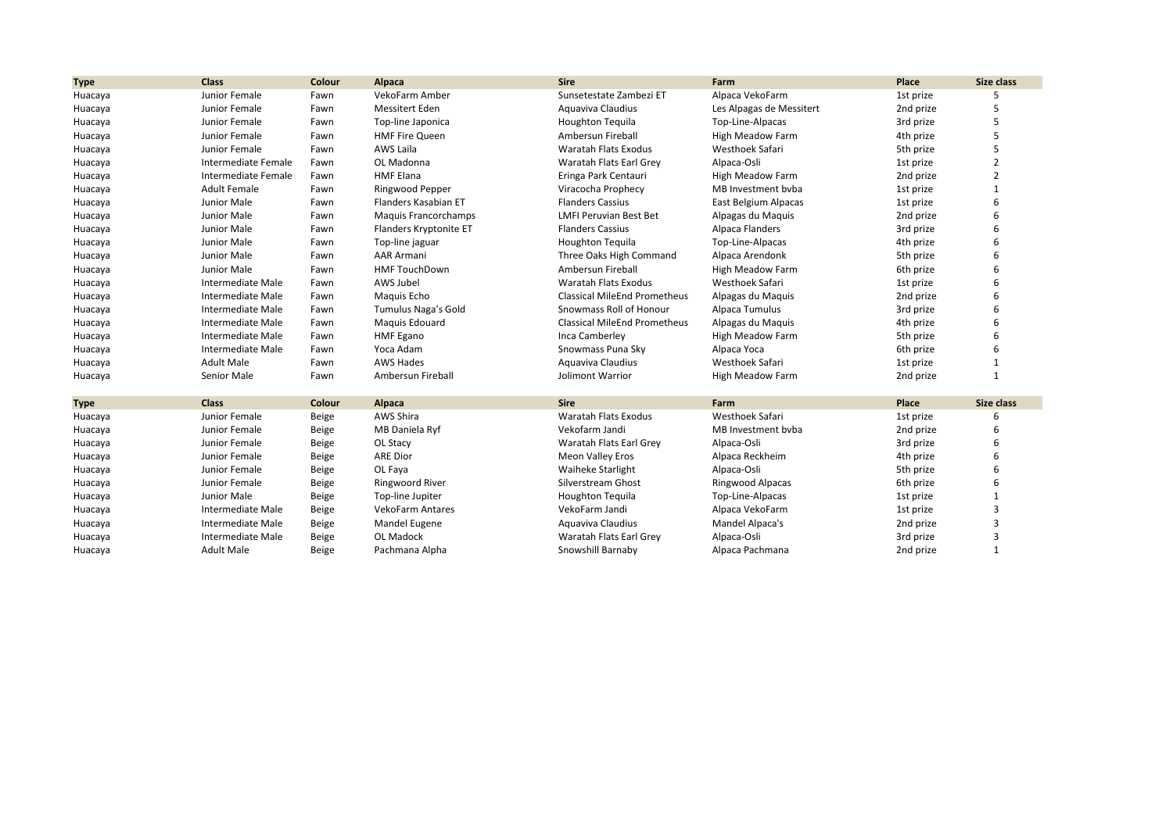| <b>Type</b> | <b>Class</b>        | Colour | Alpaca                     | <b>Sire</b>                         | Farm                     | Place     | Size class     |
|-------------|---------------------|--------|----------------------------|-------------------------------------|--------------------------|-----------|----------------|
| Huacaya     | Junior Female       | Fawn   | VekoFarm Amber             | Sunsetestate Zambezi ET             | Alpaca VekoFarm          | 1st prize |                |
| Huacaya     | Junior Female       | Fawn   | <b>Messitert Eden</b>      | Aguaviva Claudius                   | Les Alpagas de Messitert | 2nd prize | 5              |
| Huacaya     | Junior Female       | Fawn   | Top-line Japonica          | Houghton Tequila                    | Top-Line-Alpacas         | 3rd prize | 5              |
| Huacaya     | Junior Female       | Fawn   | <b>HMF Fire Queen</b>      | Ambersun Fireball                   | High Meadow Farm         | 4th prize | 5              |
| Huacaya     | Junior Female       | Fawn   | AWS Laila                  | Waratah Flats Exodus                | Westhoek Safari          | 5th prize | 5              |
| Huacaya     | Intermediate Female | Fawn   | OL Madonna                 | Waratah Flats Earl Grey             | Alpaca-Osli              | 1st prize | $\overline{2}$ |
| Huacaya     | Intermediate Female | Fawn   | <b>HMF Elana</b>           | Eringa Park Centauri                | High Meadow Farm         | 2nd prize | 2              |
| Huacaya     | <b>Adult Female</b> | Fawn   | Ringwood Pepper            | Viracocha Prophecy                  | MB Investment byba       | 1st prize |                |
| Huacaya     | Junior Male         | Fawn   | Flanders Kasabian ET       | <b>Flanders Cassius</b>             | East Belgium Alpacas     | 1st prize |                |
| Huacaya     | Junior Male         | Fawn   | Maquis Francorchamps       | <b>LMFI Peruvian Best Bet</b>       | Alpagas du Maquis        | 2nd prize |                |
| Huacaya     | Junior Male         | Fawn   | Flanders Kryptonite ET     | <b>Flanders Cassius</b>             | Alpaca Flanders          | 3rd prize |                |
| Huacaya     | Junior Male         | Fawn   | Top-line jaguar            | <b>Houghton Tequila</b>             | Top-Line-Alpacas         | 4th prize | 6              |
| Huacaya     | Junior Male         | Fawn   | <b>AAR Armani</b>          | Three Oaks High Command             | Alpaca Arendonk          | 5th prize |                |
| Huacaya     | Junior Male         | Fawn   | <b>HMF TouchDown</b>       | Ambersun Fireball                   | High Meadow Farm         | 6th prize |                |
| Huacaya     | Intermediate Male   | Fawn   | AWS Jubel                  | <b>Waratah Flats Exodus</b>         | Westhoek Safari          | 1st prize |                |
| Huacaya     | Intermediate Male   | Fawn   | Maguis Echo                | <b>Classical MileEnd Prometheus</b> | Alpagas du Maquis        | 2nd prize |                |
| Huacaya     | Intermediate Male   | Fawn   | <b>Tumulus Naga's Gold</b> | Snowmass Roll of Honour             | Alpaca Tumulus           | 3rd prize |                |
| Huacaya     | Intermediate Male   | Fawn   | Maquis Edouard             | <b>Classical MileEnd Prometheus</b> | Alpagas du Maquis        | 4th prize | 6              |
| Huacaya     | Intermediate Male   | Fawn   | <b>HMF</b> Egano           | Inca Camberley                      | High Meadow Farm         | 5th prize | 6              |
| Huacaya     | Intermediate Male   | Fawn   | Yoca Adam                  | Snowmass Puna Sky                   | Alpaca Yoca              | 6th prize | 6              |
| Huacaya     | <b>Adult Male</b>   | Fawn   | <b>AWS Hades</b>           | Aguaviva Claudius                   | Westhoek Safari          | 1st prize | 1              |
| Huacaya     | Senior Male         | Fawn   | Ambersun Fireball          | Jolimont Warrior                    | High Meadow Farm         | 2nd prize | $\mathbf{1}$   |
| <b>Type</b> | <b>Class</b>        | Colour | <b>Alpaca</b>              | <b>Sire</b>                         | Farm                     | Place     | Size class     |
| Huacaya     | Junior Female       | Beige  | AWS Shira                  | <b>Waratah Flats Exodus</b>         | <b>Westhoek Safari</b>   | 1st prize | 6              |
| Huacaya     | Junior Female       | Beige  | MB Daniela Ryf             | Vekofarm Jandi                      | MB Investment bvba       | 2nd prize | 6              |
| Huacaya     | Junior Female       | Beige  | OL Stacy                   | Waratah Flats Earl Grey             | Alpaca-Osli              | 3rd prize | 6              |
| Huacaya     | Junior Female       | Beige  | <b>ARE Dior</b>            | Meon Valley Eros                    | Alpaca Reckheim          | 4th prize | 6              |
| Huacaya     | Junior Female       | Beige  | OL Faya                    | <b>Waiheke Starlight</b>            | Alpaca-Osli              | 5th prize | 6              |
| Huacaya     | Junior Female       | Beige  | Ringwoord River            | Silverstream Ghost                  | Ringwood Alpacas         | 6th prize | 6              |
| Huacaya     | Junior Male         | Beige  | Top-line Jupiter           | <b>Houghton Tequila</b>             | Top-Line-Alpacas         | 1st prize | 1              |
| Huacaya     | Intermediate Male   | Beige  | <b>VekoFarm Antares</b>    | VekoFarm Jandi                      | Alpaca VekoFarm          | 1st prize | 3              |
| Huacaya     | Intermediate Male   | Beige  | Mandel Eugene              | Aguaviva Claudius                   | Mandel Alpaca's          | 2nd prize | 3              |
| Huacaya     | Intermediate Male   | Beige  | OL Madock                  | Waratah Flats Earl Grev             | Alpaca-Osli              | 3rd prize | 3              |
| Huacaya     | <b>Adult Male</b>   | Beige  | Pachmana Alpha             | Snowshill Barnaby                   | Alpaca Pachmana          | 2nd prize | $\mathbf{1}$   |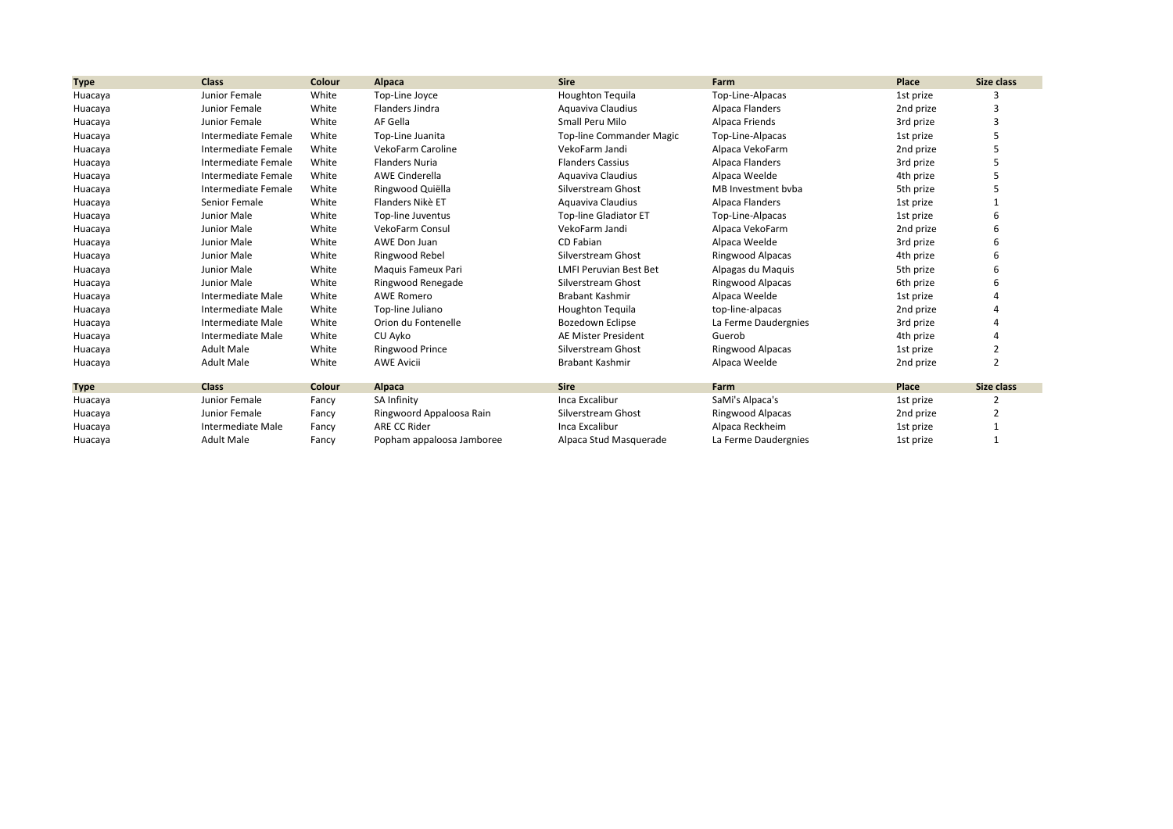| <b>Type</b> | <b>Class</b>        | Colour | Alpaca                    | <b>Sire</b>                   | Farm                 | Place     | Size class     |
|-------------|---------------------|--------|---------------------------|-------------------------------|----------------------|-----------|----------------|
| Huacaya     | Junior Female       | White  | Top-Line Joyce            | <b>Houghton Tequila</b>       | Top-Line-Alpacas     | 1st prize |                |
| Huacaya     | Junior Female       | White  | Flanders Jindra           | Aquaviva Claudius             | Alpaca Flanders      | 2nd prize |                |
| Huacaya     | Junior Female       | White  | AF Gella                  | Small Peru Milo               | Alpaca Friends       | 3rd prize |                |
| Huacaya     | Intermediate Female | White  | Top-Line Juanita          | Top-line Commander Magic      | Top-Line-Alpacas     | 1st prize |                |
| Huacaya     | Intermediate Female | White  | VekoFarm Caroline         | VekoFarm Jandi                | Alpaca VekoFarm      | 2nd prize |                |
| Huacaya     | Intermediate Female | White  | <b>Flanders Nuria</b>     | <b>Flanders Cassius</b>       | Alpaca Flanders      | 3rd prize |                |
| Huacaya     | Intermediate Female | White  | <b>AWE Cinderella</b>     | Aquaviva Claudius             | Alpaca Weelde        | 4th prize |                |
| Huacaya     | Intermediate Female | White  | Ringwood Quiëlla          | Silverstream Ghost            | MB Investment byba   | 5th prize |                |
| Huacaya     | Senior Female       | White  | Flanders Nikè ET          | Aquaviva Claudius             | Alpaca Flanders      | 1st prize |                |
| Huacaya     | Junior Male         | White  | Top-line Juventus         | <b>Top-line Gladiator ET</b>  | Top-Line-Alpacas     | 1st prize |                |
| Huacaya     | Junior Male         | White  | <b>VekoFarm Consul</b>    | VekoFarm Jandi                | Alpaca VekoFarm      | 2nd prize |                |
| Huacaya     | Junior Male         | White  | AWE Don Juan              | CD Fabian                     | Alpaca Weelde        | 3rd prize |                |
| Huacaya     | Junior Male         | White  | Ringwood Rebel            | Silverstream Ghost            | Ringwood Alpacas     | 4th prize |                |
| Huacaya     | Junior Male         | White  | Maguis Fameux Pari        | <b>LMFI Peruvian Best Bet</b> | Alpagas du Maquis    | 5th prize |                |
| Huacaya     | Junior Male         | White  | Ringwood Renegade         | Silverstream Ghost            | Ringwood Alpacas     | 6th prize |                |
| Huacaya     | Intermediate Male   | White  | <b>AWE Romero</b>         | <b>Brabant Kashmir</b>        | Alpaca Weelde        | 1st prize |                |
| Huacaya     | Intermediate Male   | White  | Top-line Juliano          | <b>Houghton Tequila</b>       | top-line-alpacas     | 2nd prize |                |
| Huacaya     | Intermediate Male   | White  | Orion du Fontenelle       | Bozedown Eclipse              | La Ferme Daudergnies | 3rd prize |                |
| Huacaya     | Intermediate Male   | White  | CU Ayko                   | AE Mister President           | Guerob               | 4th prize |                |
| Huacaya     | <b>Adult Male</b>   | White  | <b>Ringwood Prince</b>    | Silverstream Ghost            | Ringwood Alpacas     | 1st prize | 2              |
| Huacaya     | <b>Adult Male</b>   | White  | <b>AWE Avicii</b>         | <b>Brabant Kashmir</b>        | Alpaca Weelde        | 2nd prize | $\overline{2}$ |
| <b>Type</b> | <b>Class</b>        | Colour | Alpaca                    | <b>Sire</b>                   | Farm                 | Place     | Size class     |
| Huacaya     | Junior Female       | Fancy  | SA Infinity               | Inca Excalibur                | SaMi's Alpaca's      | 1st prize |                |
| Huacaya     | Junior Female       | Fancy  | Ringwoord Appaloosa Rain  | Silverstream Ghost            | Ringwood Alpacas     | 2nd prize |                |
| Huacaya     | Intermediate Male   | Fancy  | ARE CC Rider              | Inca Excalibur                | Alpaca Reckheim      | 1st prize |                |
| Huacaya     | <b>Adult Male</b>   | Fancy  | Popham appaloosa Jamboree | Alpaca Stud Masquerade        | La Ferme Daudergnies | 1st prize |                |